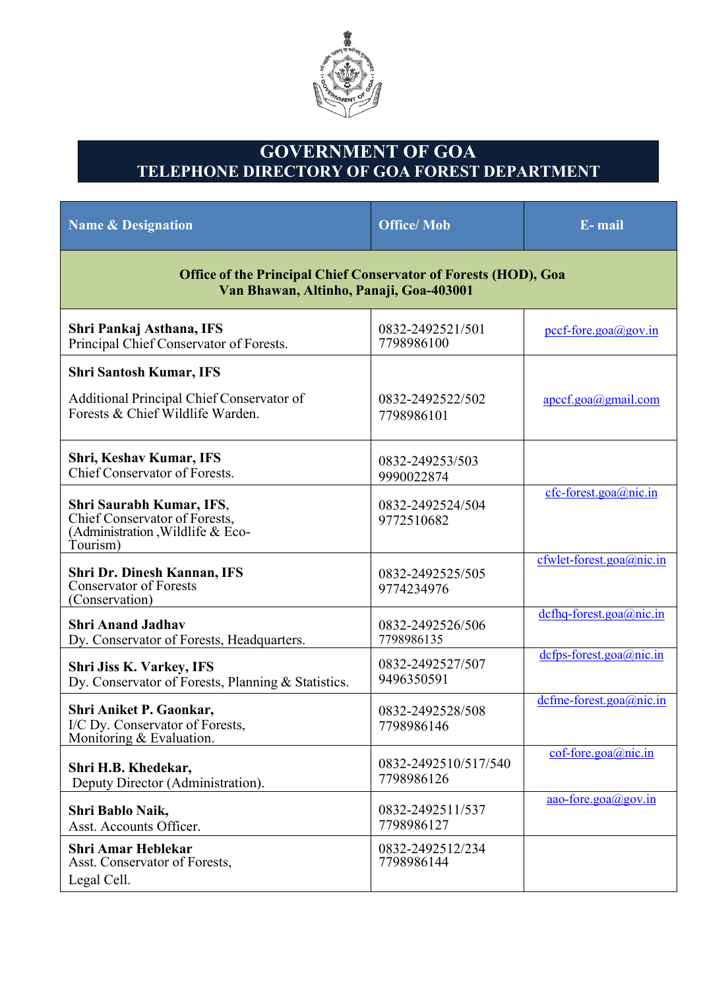

## **GOVERNMENT OF GOA TELEPHONE DIRECTORY OF GOA FOREST DEPARTMENT**

| <b>Name &amp; Designation</b>                                                                                     | <b>Office/Mob</b>                  | E-mail                            |  |  |
|-------------------------------------------------------------------------------------------------------------------|------------------------------------|-----------------------------------|--|--|
| <b>Office of the Principal Chief Conservator of Forests (HOD), Goa</b><br>Van Bhawan, Altinho, Panaji, Goa-403001 |                                    |                                   |  |  |
| Shri Pankaj Asthana, IFS<br>Principal Chief Conservator of Forests.                                               | 0832-2492521/501<br>7798986100     | $\text{pccf-force.goa}(a)$ gov.in |  |  |
| <b>Shri Santosh Kumar, IFS</b><br>Additional Principal Chief Conservator of<br>Forests & Chief Wildlife Warden.   | 0832-2492522/502<br>7798986101     | apccf.goa@gmail.com               |  |  |
| Shri, Keshav Kumar, IFS<br>Chief Conservator of Forests.                                                          | 0832-249253/503<br>9990022874      |                                   |  |  |
| Shri Saurabh Kumar, IFS,<br>Chief Conservator of Forests,<br>(Administration, Wildlife & Eco-<br>Tourism)         | 0832-2492524/504<br>9772510682     | $cfc$ -forest.goa@nic.in          |  |  |
| Shri Dr. Dinesh Kannan, IFS<br><b>Conservator of Forests</b><br>(Conservation)                                    | 0832-2492525/505<br>9774234976     | cfwlet-forest.goa@nic.in          |  |  |
| <b>Shri Anand Jadhav</b><br>Dy. Conservator of Forests, Headquarters.                                             | 0832-2492526/506<br>7798986135     | dcfhq-forest.goa@nic.in           |  |  |
| Shri Jiss K. Varkey, IFS<br>Dy. Conservator of Forests, Planning & Statistics.                                    | 0832-2492527/507<br>9496350591     | $defps-forest.goa@nic.in$         |  |  |
| Shri Aniket P. Gaonkar,<br>I/C Dy. Conservator of Forests,<br>Monitoring & Evaluation.                            | 0832-2492528/508<br>7798986146     | $define-forest.goa@nic.in$        |  |  |
| Shri H.B. Khedekar,<br>Deputy Director (Administration).                                                          | 0832-2492510/517/540<br>7798986126 | $cof$ -fore.goa@nic.in            |  |  |
| Shri Bablo Naik,<br>Asst. Accounts Officer.                                                                       | 0832-2492511/537<br>7798986127     | aao-fore.goa@gov.in               |  |  |
| <b>Shri Amar Heblekar</b><br>Asst. Conservator of Forests,<br>Legal Cell.                                         | 0832-2492512/234<br>7798986144     |                                   |  |  |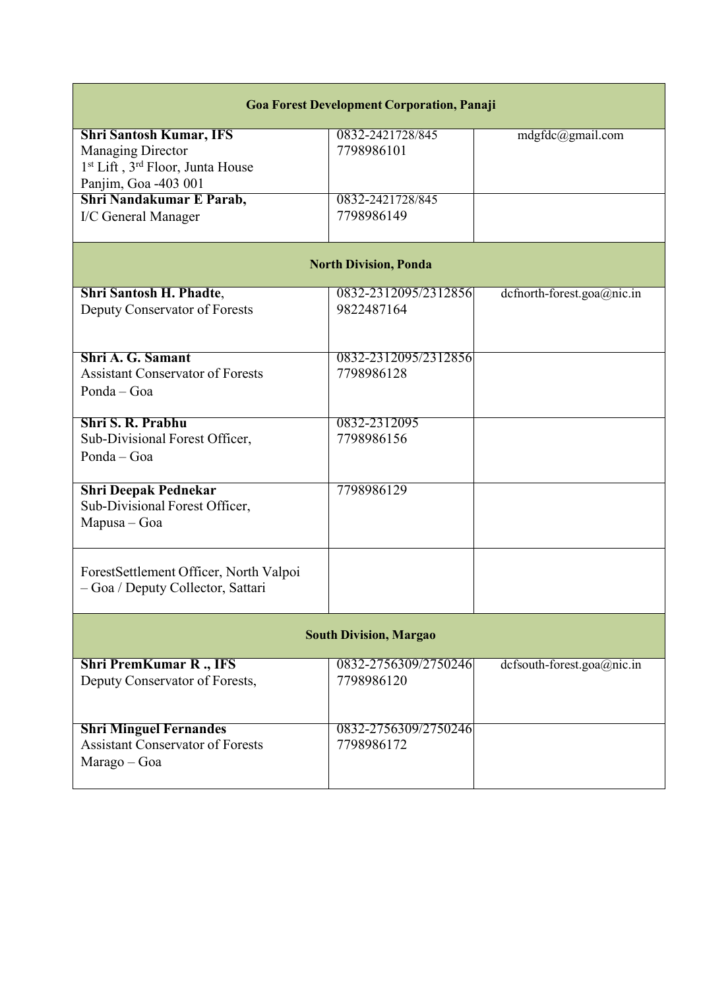| <b>Goa Forest Development Corporation, Panaji</b>                                                                                       |                                    |                               |  |  |  |
|-----------------------------------------------------------------------------------------------------------------------------------------|------------------------------------|-------------------------------|--|--|--|
| <b>Shri Santosh Kumar, IFS</b><br>Managing Director<br>1 <sup>st</sup> Lift, 3 <sup>rd</sup> Floor, Junta House<br>Panjim, Goa -403 001 | 0832-2421728/845<br>7798986101     | mdgfdc@gmail.com              |  |  |  |
| Shri Nandakumar E Parab,<br>I/C General Manager                                                                                         | 0832-2421728/845<br>7798986149     |                               |  |  |  |
| <b>North Division, Ponda</b>                                                                                                            |                                    |                               |  |  |  |
| <b>Shri Santosh H. Phadte,</b><br>Deputy Conservator of Forests                                                                         | 0832-2312095/2312856<br>9822487164 | $dcf north-forest.goa@nic.in$ |  |  |  |
| Shri A. G. Samant<br><b>Assistant Conservator of Forests</b><br>Ponda - Goa                                                             | 0832-2312095/2312856<br>7798986128 |                               |  |  |  |
| Shri S. R. Prabhu<br>Sub-Divisional Forest Officer,<br>Ponda - Goa                                                                      | 0832-2312095<br>7798986156         |                               |  |  |  |
| <b>Shri Deepak Pednekar</b><br>Sub-Divisional Forest Officer,<br>Mapusa - Goa                                                           | 7798986129                         |                               |  |  |  |
| ForestSettlement Officer, North Valpoi<br>- Goa / Deputy Collector, Sattari                                                             |                                    |                               |  |  |  |
|                                                                                                                                         | <b>South Division, Margao</b>      |                               |  |  |  |
| <b>Shri PremKumar R., IFS</b><br>Deputy Conservator of Forests,                                                                         | 0832-2756309/2750246<br>7798986120 | dcfsouth-forest.goa@nic.in    |  |  |  |
| <b>Shri Minguel Fernandes</b><br><b>Assistant Conservator of Forests</b><br>Marago - Goa                                                | 0832-2756309/2750246<br>7798986172 |                               |  |  |  |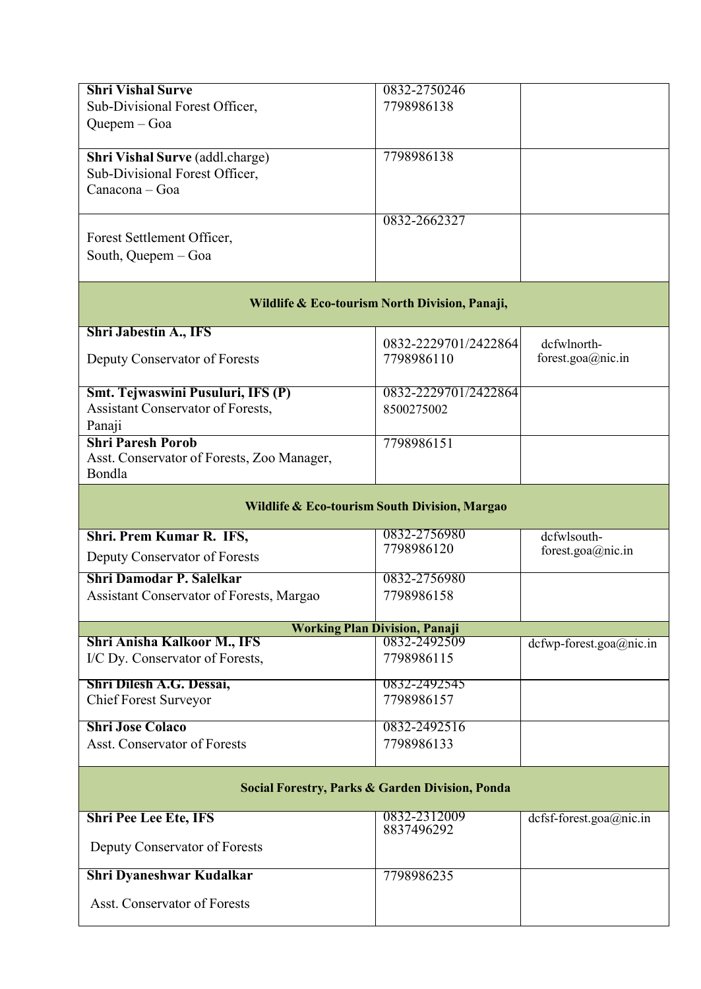| <b>Shri Vishal Surve</b>                                        | 0832-2750246                                               |                              |  |
|-----------------------------------------------------------------|------------------------------------------------------------|------------------------------|--|
| Sub-Divisional Forest Officer,                                  | 7798986138                                                 |                              |  |
| Quepem - Goa                                                    |                                                            |                              |  |
|                                                                 |                                                            |                              |  |
| Shri Vishal Surve (addl.charge)                                 | 7798986138                                                 |                              |  |
| Sub-Divisional Forest Officer,                                  |                                                            |                              |  |
| Canacona - Goa                                                  |                                                            |                              |  |
|                                                                 | 0832-2662327                                               |                              |  |
| Forest Settlement Officer,                                      |                                                            |                              |  |
| South, Quepem - Goa                                             |                                                            |                              |  |
|                                                                 |                                                            |                              |  |
|                                                                 | Wildlife & Eco-tourism North Division, Panaji,             |                              |  |
| <b>Shri Jabestin A., IFS</b>                                    |                                                            |                              |  |
|                                                                 | 0832-2229701/2422864                                       | dcfwlnorth-                  |  |
| Deputy Conservator of Forests                                   | 7798986110                                                 | forest.goa@nic.in            |  |
|                                                                 |                                                            |                              |  |
| Smt. Tejwaswini Pusuluri, IFS (P)                               | 0832-2229701/2422864                                       |                              |  |
| Assistant Conservator of Forests,                               | 8500275002                                                 |                              |  |
| Panaji<br><b>Shri Paresh Porob</b>                              |                                                            |                              |  |
| Asst. Conservator of Forests, Zoo Manager,                      | 7798986151                                                 |                              |  |
| Bondla                                                          |                                                            |                              |  |
|                                                                 |                                                            |                              |  |
|                                                                 | Wildlife & Eco-tourism South Division, Margao              |                              |  |
| Shri. Prem Kumar R. IFS,                                        | 0832-2756980                                               | dcfwlsouth-                  |  |
| Deputy Conservator of Forests                                   | 7798986120                                                 | forest.goa@nic.in            |  |
|                                                                 |                                                            |                              |  |
| <b>Shri Damodar P. Salelkar</b>                                 | 0832-2756980                                               |                              |  |
| Assistant Conservator of Forests, Margao                        | 7798986158                                                 |                              |  |
|                                                                 | <b>Working Plan Division, Panaji</b>                       |                              |  |
| <b>Shri Anisha Kalkoor M., IFS</b>                              | 0832-2492509                                               | $defwp-forest.google@nic.in$ |  |
| I/C Dy. Conservator of Forests,                                 | 7798986115                                                 |                              |  |
| Shri Dilesh A.G. Dessai,                                        | 0832-2492545                                               |                              |  |
| <b>Chief Forest Surveyor</b>                                    | 7798986157                                                 |                              |  |
| <b>Shri Jose Colaco</b>                                         | 0832-2492516                                               |                              |  |
| <b>Asst. Conservator of Forests</b>                             | 7798986133                                                 |                              |  |
|                                                                 |                                                            |                              |  |
|                                                                 |                                                            |                              |  |
|                                                                 | <b>Social Forestry, Parks &amp; Garden Division, Ponda</b> |                              |  |
|                                                                 |                                                            | dcfsf-forest.goa@nic.in      |  |
| <b>Shri Pee Lee Ete, IFS</b>                                    | 0832-2312009                                               |                              |  |
|                                                                 | 8837496292                                                 |                              |  |
| Deputy Conservator of Forests                                   |                                                            |                              |  |
|                                                                 | 7798986235                                                 |                              |  |
| <b>Shri Dyaneshwar Kudalkar</b><br>Asst. Conservator of Forests |                                                            |                              |  |